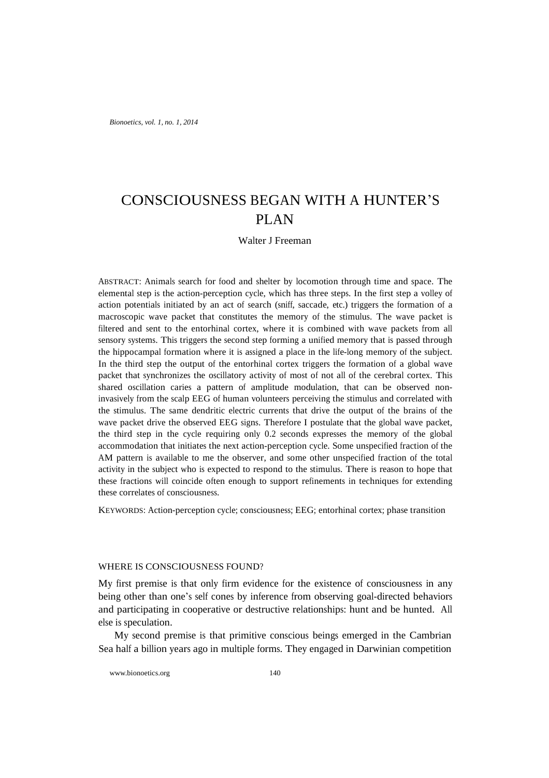*Bionoetics, vol. 1, no. 1, 2014*

# CONSCIOUSNESS BEGAN WITH A HUNTER'S PLAN

## Walter J Freeman

ABSTRACT: Animals search for food and shelter by locomotion through time and space. The elemental step is the action-perception cycle, which has three steps. In the first step a volley of action potentials initiated by an act of search (sniff, saccade, etc.) triggers the formation of a macroscopic wave packet that constitutes the memory of the stimulus. The wave packet is filtered and sent to the entorhinal cortex, where it is combined with wave packets from all sensory systems. This triggers the second step forming a unified memory that is passed through the hippocampal formation where it is assigned a place in the life-long memory of the subject. In the third step the output of the entorhinal cortex triggers the formation of a global wave packet that synchronizes the oscillatory activity of most of not all of the cerebral cortex. This shared oscillation caries a pattern of amplitude modulation, that can be observed noninvasively from the scalp EEG of human volunteers perceiving the stimulus and correlated with the stimulus. The same dendritic electric currents that drive the output of the brains of the wave packet drive the observed EEG signs. Therefore I postulate that the global wave packet, the third step in the cycle requiring only 0.2 seconds expresses the memory of the global accommodation that initiates the next action-perception cycle. Some unspecified fraction of the AM pattern is available to me the observer, and some other unspecified fraction of the total activity in the subject who is expected to respond to the stimulus. There is reason to hope that these fractions will coincide often enough to support refinements in techniques for extending these correlates of consciousness.

KEYWORDS: Action-perception cycle; consciousness; EEG; entorhinal cortex; phase transition

## WHERE IS CONSCIOUSNESS FOUND?

My first premise is that only firm evidence for the existence of consciousness in any being other than one's self cones by inference from observing goal-directed behaviors and participating in cooperative or destructive relationships: hunt and be hunted. All else is speculation.

My second premise is that primitive conscious beings emerged in the Cambrian Sea half a billion years ago in multiple forms. They engaged in Darwinian competition

www.bionoetics.org 140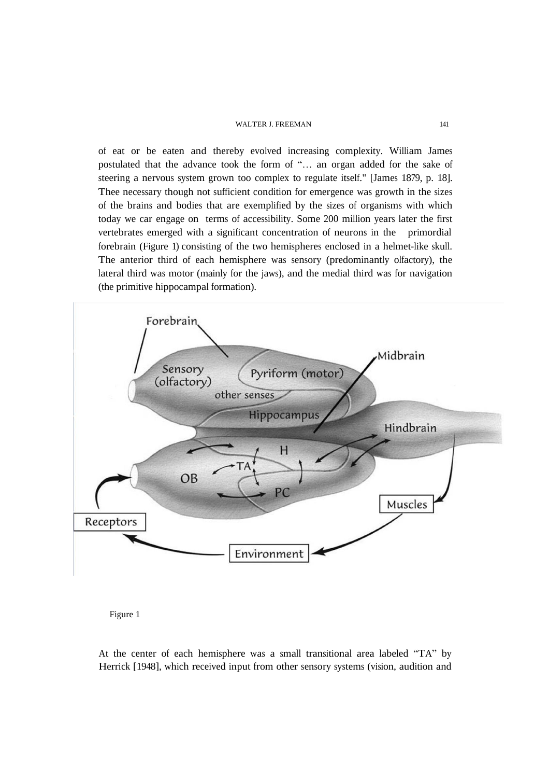of eat or be eaten and thereby evolved increasing complexity. William James postulated that the advance took the form of "… an organ added for the sake of steering a nervous system grown too complex to regulate itself." [James 1879, p. 18]. Thee necessary though not sufficient condition for emergence was growth in the sizes of the brains and bodies that are exemplified by the sizes of organisms with which today we car engage on terms of accessibility. Some 200 million years later the first vertebrates emerged with a significant concentration of neurons in the primordial forebrain (Figure 1) consisting of the two hemispheres enclosed in a helmet-like skull. The anterior third of each hemisphere was sensory (predominantly olfactory), the lateral third was motor (mainly for the jaws), and the medial third was for navigation (the primitive hippocampal formation).



Figure 1

At the center of each hemisphere was a small transitional area labeled "TA" by Herrick [1948], which received input from other sensory systems (vision, audition and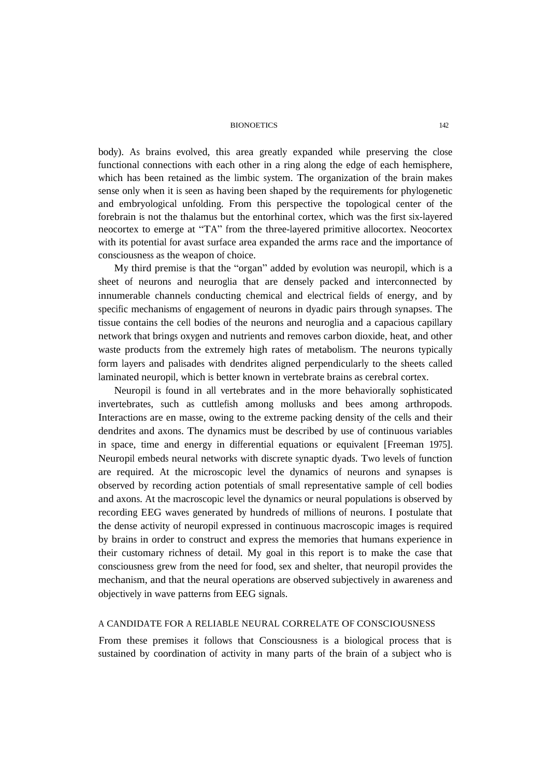#### BIONOETICS 142

body). As brains evolved, this area greatly expanded while preserving the close functional connections with each other in a ring along the edge of each hemisphere, which has been retained as the limbic system. The organization of the brain makes sense only when it is seen as having been shaped by the requirements for phylogenetic and embryological unfolding. From this perspective the topological center of the forebrain is not the thalamus but the entorhinal cortex, which was the first six-layered neocortex to emerge at "TA" from the three-layered primitive allocortex. Neocortex with its potential for avast surface area expanded the arms race and the importance of consciousness as the weapon of choice.

My third premise is that the "organ" added by evolution was neuropil, which is a sheet of neurons and neuroglia that are densely packed and interconnected by innumerable channels conducting chemical and electrical fields of energy, and by specific mechanisms of engagement of neurons in dyadic pairs through synapses. The tissue contains the cell bodies of the neurons and neuroglia and a capacious capillary network that brings oxygen and nutrients and removes carbon dioxide, heat, and other waste products from the extremely high rates of metabolism. The neurons typically form layers and palisades with dendrites aligned perpendicularly to the sheets called laminated neuropil, which is better known in vertebrate brains as cerebral cortex.

Neuropil is found in all vertebrates and in the more behaviorally sophisticated invertebrates, such as cuttlefish among mollusks and bees among arthropods. Interactions are en masse, owing to the extreme packing density of the cells and their dendrites and axons. The dynamics must be described by use of continuous variables in space, time and energy in differential equations or equivalent [Freeman 1975]. Neuropil embeds neural networks with discrete synaptic dyads. Two levels of function are required. At the microscopic level the dynamics of neurons and synapses is observed by recording action potentials of small representative sample of cell bodies and axons. At the macroscopic level the dynamics or neural populations is observed by recording EEG waves generated by hundreds of millions of neurons. I postulate that the dense activity of neuropil expressed in continuous macroscopic images is required by brains in order to construct and express the memories that humans experience in their customary richness of detail. My goal in this report is to make the case that consciousness grew from the need for food, sex and shelter, that neuropil provides the mechanism, and that the neural operations are observed subjectively in awareness and objectively in wave patterns from EEG signals.

# A CANDIDATE FOR A RELIABLE NEURAL CORRELATE OF CONSCIOUSNESS

From these premises it follows that Consciousness is a biological process that is sustained by coordination of activity in many parts of the brain of a subject who is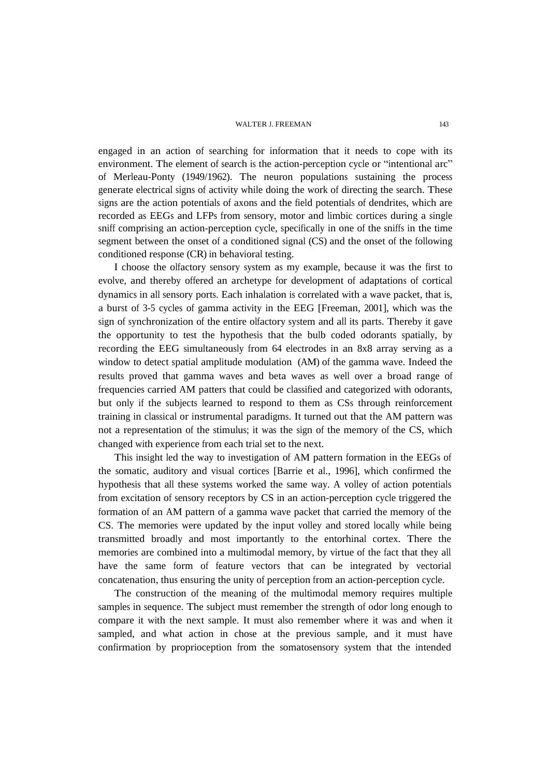engaged in an action of searching for information that it needs to cope with its environment. The element of search is the action-perception cycle or "intentional arc" of Merleau-Ponty (1949/1962). The neuron populations sustaining the process generate electrical signs of activity while doing the work of directing the search. These signs are the action potentials of axons and the field potentials of dendrites, which are recorded as EEGs and LFPs from sensory, motor and limbic cortices during a single sniff comprising an action-perception cycle, specifically in one of the sniffs in the time segment between the onset of a conditioned signal (CS) and the onset of the following conditioned response (CR) in behavioral testing.

I choose the olfactory sensory system as my example, because it was the first to evolve, and thereby offered an archetype for development of adaptations of cortical dynamics in all sensory ports. Each inhalation is correlated with a wave packet, that is, a burst of 3-5 cycles of gamma activity in the EEG [Freeman, 2001], which was the sign of synchronization of the entire olfactory system and all its parts. Thereby it gave the opportunity to test the hypothesis that the bulb coded odorants spatially, by recording the EEG simultaneously from 64 electrodes in an 8x8 array serving as a window to detect spatial amplitude modulation (AM) of the gamma wave. Indeed the results proved that gamma waves and beta waves as well over a broad range of frequencies carried AM patters that could be classified and categorized with odorants, but only if the subjects learned to respond to them as CSs through reinforcement training in classical or instrumental paradigms. It turned out that the AM pattern was not a representation of the stimulus; it was the sign of the memory of the CS, which changed with experience from each trial set to the next.

This insight led the way to investigation of AM pattern formation in the EEGs of the somatic, auditory and visual cortices [Barrie et al., 1996], which confirmed the hypothesis that all these systems worked the same way. A volley of action potentials from excitation of sensory receptors by CS in an action-perception cycle triggered the formation of an AM pattern of a gamma wave packet that carried the memory of the CS. The memories were updated by the input volley and stored locally while being transmitted broadly and most importantly to the entorhinal cortex. There the memories are combined into a multimodal memory, by virtue of the fact that they all have the same form of feature vectors that can be integrated by vectorial concatenation, thus ensuring the unity of perception from an action-perception cycle.

The construction of the meaning of the multimodal memory requires multiple samples in sequence. The subject must remember the strength of odor long enough to compare it with the next sample. It must also remember where it was and when it sampled, and what action in chose at the previous sample, and it must have confirmation by proprioception from the somatosensory system that the intended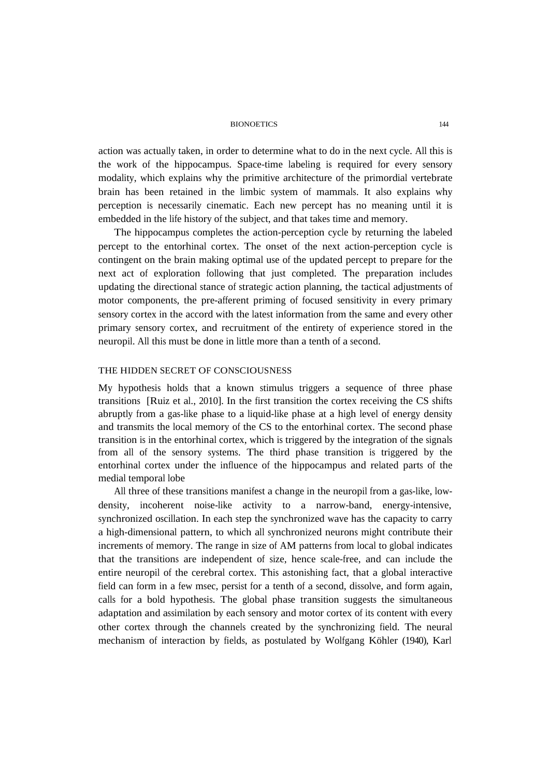#### BIONOETICS 144

action was actually taken, in order to determine what to do in the next cycle. All this is the work of the hippocampus. Space-time labeling is required for every sensory modality, which explains why the primitive architecture of the primordial vertebrate brain has been retained in the limbic system of mammals. It also explains why perception is necessarily cinematic. Each new percept has no meaning until it is embedded in the life history of the subject, and that takes time and memory.

The hippocampus completes the action-perception cycle by returning the labeled percept to the entorhinal cortex. The onset of the next action-perception cycle is contingent on the brain making optimal use of the updated percept to prepare for the next act of exploration following that just completed. The preparation includes updating the directional stance of strategic action planning, the tactical adjustments of motor components, the pre-afferent priming of focused sensitivity in every primary sensory cortex in the accord with the latest information from the same and every other primary sensory cortex, and recruitment of the entirety of experience stored in the neuropil. All this must be done in little more than a tenth of a second.

## THE HIDDEN SECRET OF CONSCIOUSNESS

My hypothesis holds that a known stimulus triggers a sequence of three phase transitions [Ruiz et al., 2010]. In the first transition the cortex receiving the CS shifts abruptly from a gas-like phase to a liquid-like phase at a high level of energy density and transmits the local memory of the CS to the entorhinal cortex. The second phase transition is in the entorhinal cortex, which is triggered by the integration of the signals from all of the sensory systems. The third phase transition is triggered by the entorhinal cortex under the influence of the hippocampus and related parts of the medial temporal lobe

All three of these transitions manifest a change in the neuropil from a gas-like, lowdensity, incoherent noise-like activity to a narrow-band, energy-intensive, synchronized oscillation. In each step the synchronized wave has the capacity to carry a high-dimensional pattern, to which all synchronized neurons might contribute their increments of memory. The range in size of AM patterns from local to global indicates that the transitions are independent of size, hence scale-free, and can include the entire neuropil of the cerebral cortex. This astonishing fact, that a global interactive field can form in a few msec, persist for a tenth of a second, dissolve, and form again, calls for a bold hypothesis. The global phase transition suggests the simultaneous adaptation and assimilation by each sensory and motor cortex of its content with every other cortex through the channels created by the synchronizing field. The neural mechanism of interaction by fields, as postulated by Wolfgang Köhler (1940), Karl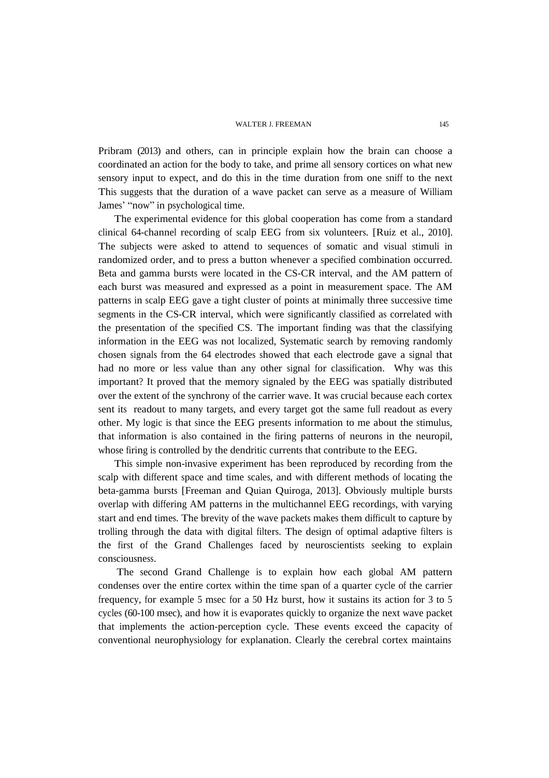Pribram (2013) and others, can in principle explain how the brain can choose a coordinated an action for the body to take, and prime all sensory cortices on what new sensory input to expect, and do this in the time duration from one sniff to the next This suggests that the duration of a wave packet can serve as a measure of William James' "now" in psychological time.

The experimental evidence for this global cooperation has come from a standard clinical 64-channel recording of scalp EEG from six volunteers. [Ruiz et al., 2010]. The subjects were asked to attend to sequences of somatic and visual stimuli in randomized order, and to press a button whenever a specified combination occurred. Beta and gamma bursts were located in the CS-CR interval, and the AM pattern of each burst was measured and expressed as a point in measurement space. The AM patterns in scalp EEG gave a tight cluster of points at minimally three successive time segments in the CS-CR interval, which were significantly classified as correlated with the presentation of the specified CS. The important finding was that the classifying information in the EEG was not localized, Systematic search by removing randomly chosen signals from the 64 electrodes showed that each electrode gave a signal that had no more or less value than any other signal for classification. Why was this important? It proved that the memory signaled by the EEG was spatially distributed over the extent of the synchrony of the carrier wave. It was crucial because each cortex sent its readout to many targets, and every target got the same full readout as every other. My logic is that since the EEG presents information to me about the stimulus, that information is also contained in the firing patterns of neurons in the neuropil, whose firing is controlled by the dendritic currents that contribute to the EEG.

This simple non-invasive experiment has been reproduced by recording from the scalp with different space and time scales, and with different methods of locating the beta-gamma bursts [Freeman and Quian Quiroga, 2013]. Obviously multiple bursts overlap with differing AM patterns in the multichannel EEG recordings, with varying start and end times. The brevity of the wave packets makes them difficult to capture by trolling through the data with digital filters. The design of optimal adaptive filters is the first of the Grand Challenges faced by neuroscientists seeking to explain consciousness.

The second Grand Challenge is to explain how each global AM pattern condenses over the entire cortex within the time span of a quarter cycle of the carrier frequency, for example 5 msec for a 50 Hz burst, how it sustains its action for 3 to 5 cycles (60-100 msec), and how it is evaporates quickly to organize the next wave packet that implements the action-perception cycle. These events exceed the capacity of conventional neurophysiology for explanation. Clearly the cerebral cortex maintains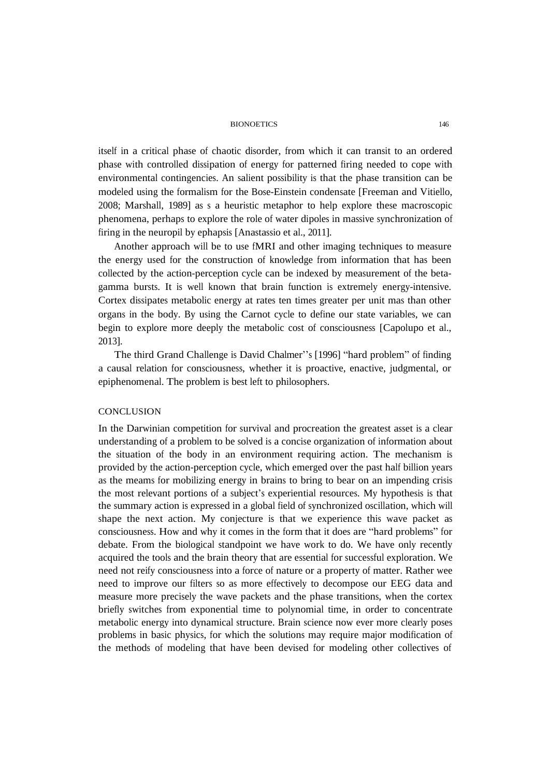#### BIONOETICS 146

itself in a critical phase of chaotic disorder, from which it can transit to an ordered phase with controlled dissipation of energy for patterned firing needed to cope with environmental contingencies. An salient possibility is that the phase transition can be modeled using the formalism for the Bose-Einstein condensate [Freeman and Vitiello, 2008; Marshall, 1989] as s a heuristic metaphor to help explore these macroscopic phenomena, perhaps to explore the role of water dipoles in massive synchronization of firing in the neuropil by ephapsis [Anastassio et al., 2011].

Another approach will be to use fMRI and other imaging techniques to measure the energy used for the construction of knowledge from information that has been collected by the action-perception cycle can be indexed by measurement of the betagamma bursts. It is well known that brain function is extremely energy-intensive. Cortex dissipates metabolic energy at rates ten times greater per unit mas than other organs in the body. By using the Carnot cycle to define our state variables, we can begin to explore more deeply the metabolic cost of consciousness [Capolupo et al., 2013].

The third Grand Challenge is David Chalmer''s [1996] "hard problem" of finding a causal relation for consciousness, whether it is proactive, enactive, judgmental, or epiphenomenal. The problem is best left to philosophers.

## **CONCLUSION**

In the Darwinian competition for survival and procreation the greatest asset is a clear understanding of a problem to be solved is a concise organization of information about the situation of the body in an environment requiring action. The mechanism is provided by the action-perception cycle, which emerged over the past half billion years as the meams for mobilizing energy in brains to bring to bear on an impending crisis the most relevant portions of a subject's experiential resources. My hypothesis is that the summary action is expressed in a global field of synchronized oscillation, which will shape the next action. My conjecture is that we experience this wave packet as consciousness. How and why it comes in the form that it does are "hard problems" for debate. From the biological standpoint we have work to do. We have only recently acquired the tools and the brain theory that are essential for successful exploration. We need not reify consciousness into a force of nature or a property of matter. Rather wee need to improve our filters so as more effectively to decompose our EEG data and measure more precisely the wave packets and the phase transitions, when the cortex briefly switches from exponential time to polynomial time, in order to concentrate metabolic energy into dynamical structure. Brain science now ever more clearly poses problems in basic physics, for which the solutions may require major modification of the methods of modeling that have been devised for modeling other collectives of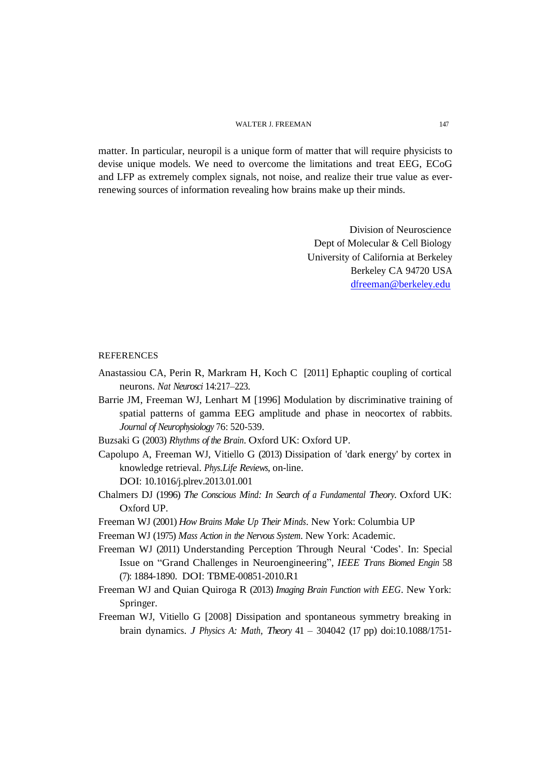matter. In particular, neuropil is a unique form of matter that will require physicists to devise unique models. We need to overcome the limitations and treat EEG, ECoG and LFP as extremely complex signals, not noise, and realize their true value as everrenewing sources of information revealing how brains make up their minds.

> Division of Neuroscience Dept of Molecular & Cell Biology University of California at Berkeley Berkeley CA 94720 USA [dfreeman@berkeley.edu](mailto:dfreeman@berkeley.edu)

### REFERENCES

- Anastassiou CA, Perin R, Markram H, Koch C [2011] Ephaptic coupling of cortical neurons. *Nat Neurosci* 14:217–223.
- Barrie JM, Freeman WJ, Lenhart M [1996] Modulation by discriminative training of spatial patterns of gamma EEG amplitude and phase in neocortex of rabbits. *Journal of Neurophysiology* 76: 520-539.
- Buzsaki G (2003) *Rhythms of the Brain*. Oxford UK: Oxford UP.
- Capolupo A, Freeman WJ, Vitiello G (2013) Dissipation of 'dark energy' by cortex in knowledge retrieval. *Phys.Life Reviews*, on-line. DOI: 10.1016/j.plrev.2013.01.001
- Chalmers DJ (1996) *The Conscious Mind: In Search of a Fundamental Theory*. Oxford UK: Oxford UP.
- Freeman WJ (2001) *How Brains Make Up Their Minds*. New York: Columbia UP
- Freeman WJ (1975) *Mass Action in the Nervous System*. New York: Academic.

Freeman WJ (2011) Understanding Perception Through Neural 'Codes'. In: Special Issue on "Grand Challenges in Neuroengineering", *IEEE Trans Biomed Engin* 58 (7): 1884-1890. DOI: TBME-00851-2010.R1

- Freeman WJ and Quian Quiroga R (2013) *Imaging Brain Function with EEG*. New York: Springer.
- Freeman WJ, Vitiello G [2008] Dissipation and spontaneous symmetry breaking in brain dynamics. *J Physics A: Math, Theory* 41 – 304042 (17 pp) doi:10.1088/1751-